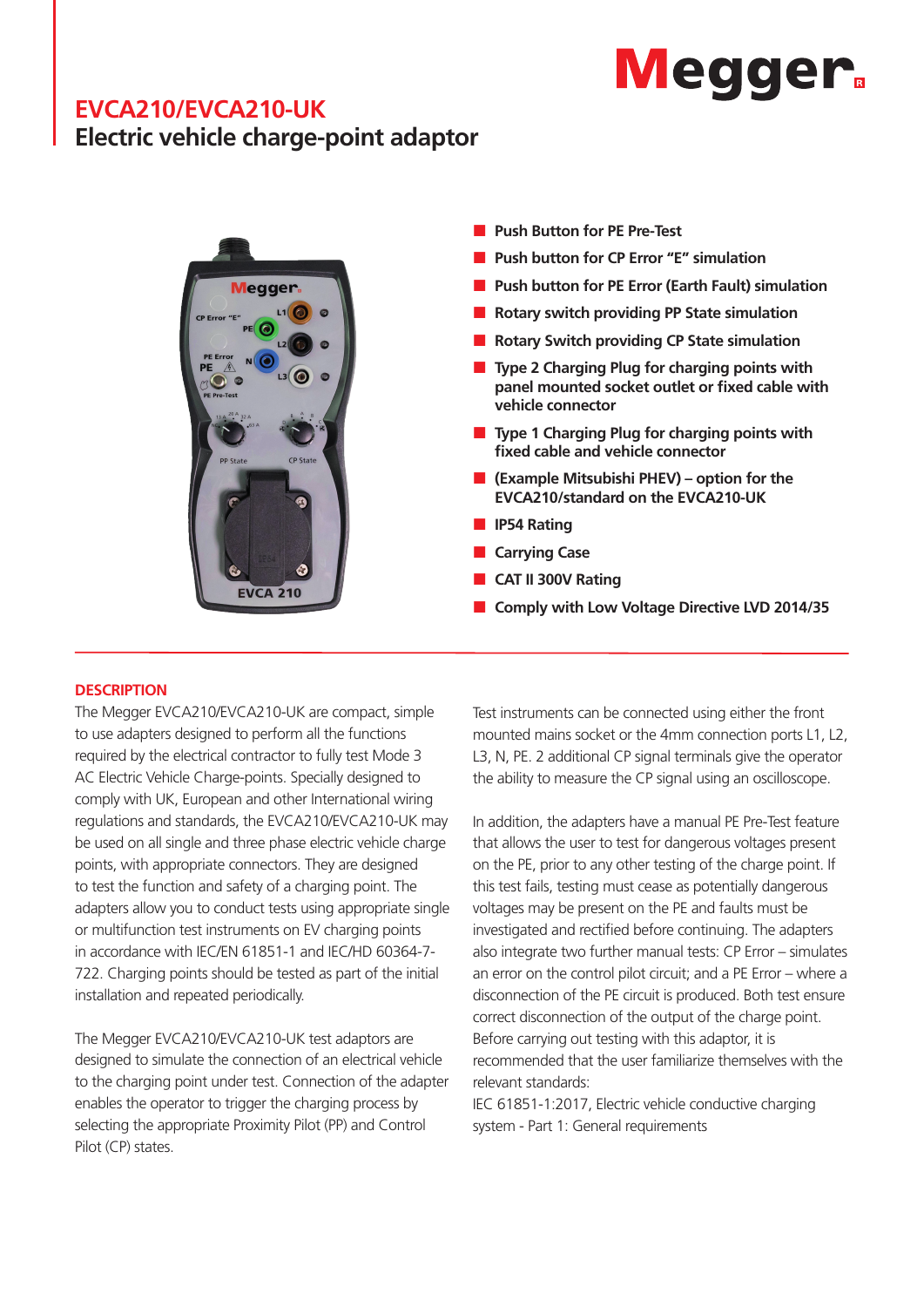# **Megger**

## **EVCA210/EVCA210-UK Electric vehicle charge-point adaptor**



- **Push Button for PE Pre-Test**
- **Push button for CP Error "E" simulation**
- **Push button for PE Error (Earth Fault) simulation**
- **Rotary switch providing PP State simulation**
- **Rotary Switch providing CP State simulation**
- **Type 2 Charging Plug for charging points with panel mounted socket outlet or fixed cable with vehicle connector**
- Type 1 Charging Plug for charging points with **fixed cable and vehicle connector**
- **(Example Mitsubishi PHEV) option for the EVCA210/standard on the EVCA210-UK**
- **IP54 Rating**
- **Carrying Case**
- **CAT II 300V Rating**
- **Comply with Low Voltage Directive LVD 2014/35**

### **DESCRIPTION**

The Megger EVCA210/EVCA210-UK are compact, simple to use adapters designed to perform all the functions required by the electrical contractor to fully test Mode 3 AC Electric Vehicle Charge-points. Specially designed to comply with UK, European and other International wiring regulations and standards, the EVCA210/EVCA210-UK may be used on all single and three phase electric vehicle charge points, with appropriate connectors. They are designed to test the function and safety of a charging point. The adapters allow you to conduct tests using appropriate single or multifunction test instruments on EV charging points in accordance with IEC/EN 61851-1 and IEC/HD 60364-7- 722. Charging points should be tested as part of the initial installation and repeated periodically.

The Megger EVCA210/EVCA210-UK test adaptors are designed to simulate the connection of an electrical vehicle to the charging point under test. Connection of the adapter enables the operator to trigger the charging process by selecting the appropriate Proximity Pilot (PP) and Control Pilot (CP) states.

Test instruments can be connected using either the front mounted mains socket or the 4mm connection ports L1, L2, L3, N, PE. 2 additional CP signal terminals give the operator the ability to measure the CP signal using an oscilloscope.

In addition, the adapters have a manual PE Pre-Test feature that allows the user to test for dangerous voltages present on the PE, prior to any other testing of the charge point. If this test fails, testing must cease as potentially dangerous voltages may be present on the PE and faults must be investigated and rectified before continuing. The adapters also integrate two further manual tests: CP Error – simulates an error on the control pilot circuit; and a PE Error – where a disconnection of the PE circuit is produced. Both test ensure correct disconnection of the output of the charge point. Before carrying out testing with this adaptor, it is recommended that the user familiarize themselves with the relevant standards:

IEC 61851-1:2017, Electric vehicle conductive charging system - Part 1: General requirements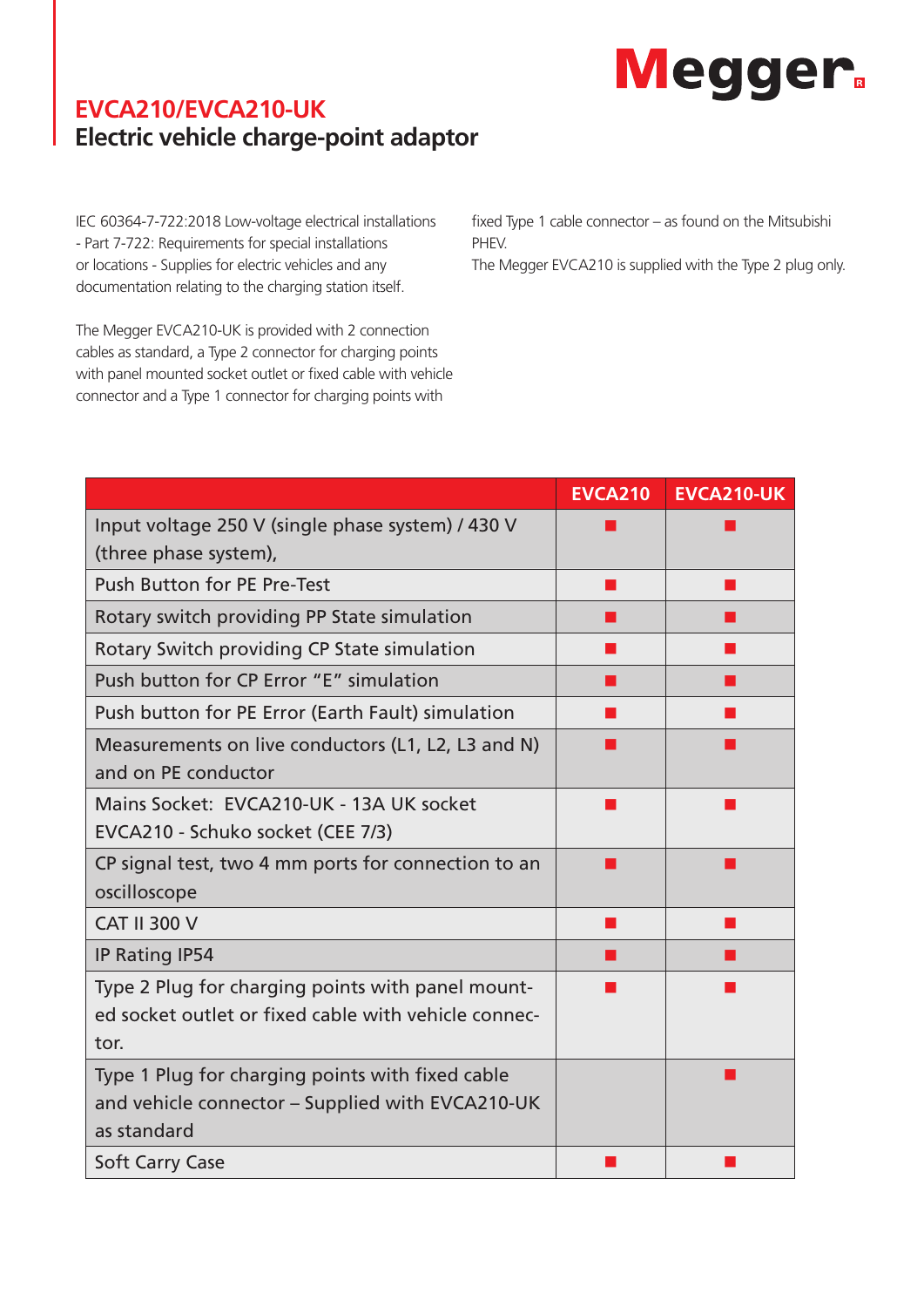# **Megger**

## **EVCA210/EVCA210-UK Electric vehicle charge-point adaptor**

IEC 60364-7-722:2018 Low-voltage electrical installations - Part 7-722: Requirements for special installations or locations - Supplies for electric vehicles and any documentation relating to the charging station itself.

The Megger EVCA210-UK is provided with 2 connection cables as standard, a Type 2 connector for charging points with panel mounted socket outlet or fixed cable with vehicle connector and a Type 1 connector for charging points with

fixed Type 1 cable connector – as found on the Mitsubishi PHEV. The Megger EVCA210 is supplied with the Type 2 plug only.

|                                                      | <b>EVCA210</b> | <b>EVCA210-UK</b> |
|------------------------------------------------------|----------------|-------------------|
| Input voltage 250 V (single phase system) / 430 V    |                |                   |
| (three phase system),                                |                |                   |
| <b>Push Button for PE Pre-Test</b>                   |                |                   |
| Rotary switch providing PP State simulation          |                |                   |
| Rotary Switch providing CP State simulation          |                |                   |
| Push button for CP Error "E" simulation              |                |                   |
| Push button for PE Error (Earth Fault) simulation    |                |                   |
| Measurements on live conductors (L1, L2, L3 and N)   |                |                   |
| and on PE conductor                                  |                |                   |
| Mains Socket: EVCA210-UK - 13A UK socket             |                |                   |
| EVCA210 - Schuko socket (CEE 7/3)                    |                |                   |
| CP signal test, two 4 mm ports for connection to an  |                |                   |
| oscilloscope                                         |                |                   |
| <b>CAT II 300 V</b>                                  |                |                   |
| IP Rating IP54                                       |                |                   |
| Type 2 Plug for charging points with panel mount-    |                |                   |
| ed socket outlet or fixed cable with vehicle connec- |                |                   |
| tor.                                                 |                |                   |
| Type 1 Plug for charging points with fixed cable     |                |                   |
| and vehicle connector - Supplied with EVCA210-UK     |                |                   |
| as standard                                          |                |                   |
| <b>Soft Carry Case</b>                               |                |                   |